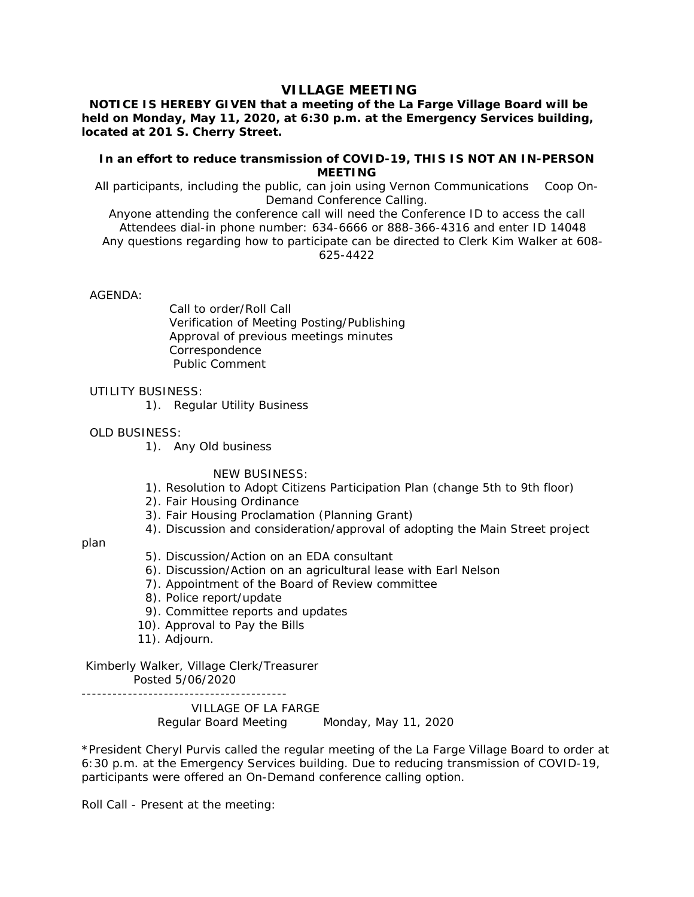# **VILLAGE MEETING**

## **NOTICE IS HEREBY GIVEN that a meeting of the La Farge Village Board will be held on Monday, May 11, 2020, at 6:30 p.m. at the Emergency Services building, located at 201 S. Cherry Street.**

### **In an effort to reduce transmission of COVID-19, THIS IS NOT AN IN-PERSON MEETING**

All participants, including the public, can join using Vernon Communications Coop On-Demand Conference Calling.

Anyone attending the conference call will need the Conference ID to access the call Attendees dial-in phone number: 634-6666 or 888-366-4316 and enter ID 14048 Any questions regarding how to participate can be directed to Clerk Kim Walker at 608- 625-4422

### AGENDA:

 Call to order/Roll Call Verification of Meeting Posting/Publishing Approval of previous meetings minutes Correspondence Public Comment

### UTILITY BUSINESS:

1). Regular Utility Business

### OLD BUSINESS:

1). Any Old business

NEW BUSINESS:

- 1). Resolution to Adopt Citizens Participation Plan (change 5th to 9th floor)
- 2). Fair Housing Ordinance
- 3). Fair Housing Proclamation (Planning Grant)
- 4). Discussion and consideration/approval of adopting the Main Street project

#### plan

- 5). Discussion/Action on an EDA consultant
- 6). Discussion/Action on an agricultural lease with Earl Nelson
- 7). Appointment of the Board of Review committee
- 8). Police report/update
- 9). Committee reports and updates
- 10). Approval to Pay the Bills
- 11). Adjourn.

 Kimberly Walker, Village Clerk/Treasurer Posted 5/06/2020

VILLAGE OF LA FARGE

Regular Board Meeting Monday, May 11, 2020

\*President Cheryl Purvis called the regular meeting of the La Farge Village Board to order at 6:30 p.m. at the Emergency Services building. Due to reducing transmission of COVID-19, participants were offered an On-Demand conference calling option.

Roll Call - Present at the meeting: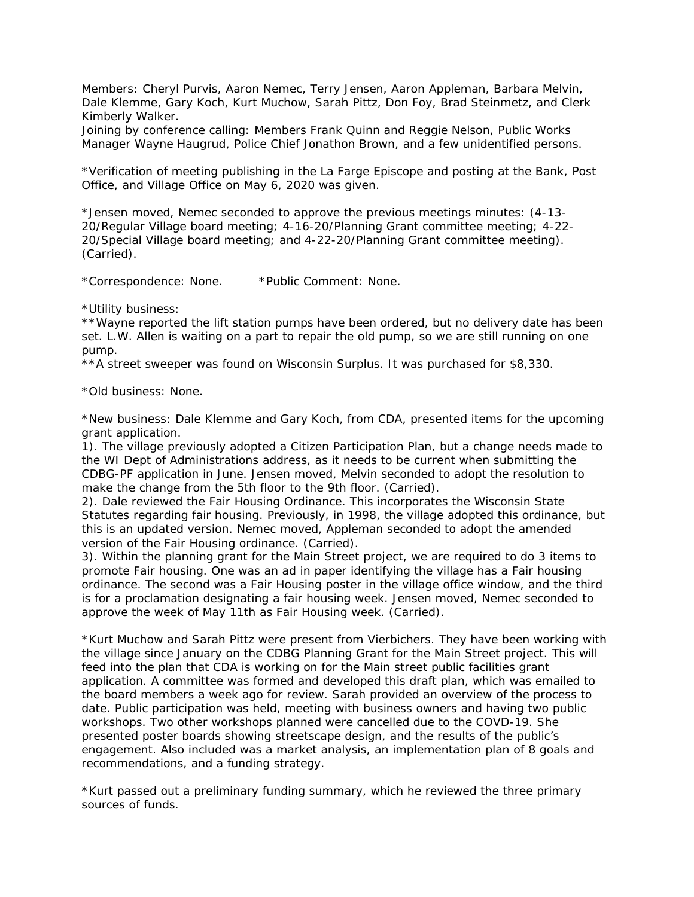Members: Cheryl Purvis, Aaron Nemec, Terry Jensen, Aaron Appleman, Barbara Melvin, Dale Klemme, Gary Koch, Kurt Muchow, Sarah Pittz, Don Foy, Brad Steinmetz, and Clerk Kimberly Walker.

Joining by conference calling: Members Frank Quinn and Reggie Nelson, Public Works Manager Wayne Haugrud, Police Chief Jonathon Brown, and a few unidentified persons.

\*Verification of meeting publishing in the La Farge Episcope and posting at the Bank, Post Office, and Village Office on May 6, 2020 was given.

\*Jensen moved, Nemec seconded to approve the previous meetings minutes: (4-13- 20/Regular Village board meeting; 4-16-20/Planning Grant committee meeting; 4-22- 20/Special Village board meeting; and 4-22-20/Planning Grant committee meeting). (Carried).

\*Correspondence: None. \*Public Comment: None.

\*Utility business:

\*\*Wayne reported the lift station pumps have been ordered, but no delivery date has been set. L.W. Allen is waiting on a part to repair the old pump, so we are still running on one pump.

\*\*A street sweeper was found on Wisconsin Surplus. It was purchased for \$8,330.

\*Old business: None.

\*New business: Dale Klemme and Gary Koch, from CDA, presented items for the upcoming grant application.

1). The village previously adopted a Citizen Participation Plan, but a change needs made to the WI Dept of Administrations address, as it needs to be current when submitting the CDBG-PF application in June. Jensen moved, Melvin seconded to adopt the resolution to make the change from the 5th floor to the 9th floor. (Carried).

2). Dale reviewed the Fair Housing Ordinance. This incorporates the Wisconsin State Statutes regarding fair housing. Previously, in 1998, the village adopted this ordinance, but this is an updated version. Nemec moved, Appleman seconded to adopt the amended version of the Fair Housing ordinance. (Carried).

3). Within the planning grant for the Main Street project, we are required to do 3 items to promote Fair housing. One was an ad in paper identifying the village has a Fair housing ordinance. The second was a Fair Housing poster in the village office window, and the third is for a proclamation designating a fair housing week. Jensen moved, Nemec seconded to approve the week of May 11th as Fair Housing week. (Carried).

\*Kurt Muchow and Sarah Pittz were present from Vierbichers. They have been working with the village since January on the CDBG Planning Grant for the Main Street project. This will feed into the plan that CDA is working on for the Main street public facilities grant application. A committee was formed and developed this draft plan, which was emailed to the board members a week ago for review. Sarah provided an overview of the process to date. Public participation was held, meeting with business owners and having two public workshops. Two other workshops planned were cancelled due to the COVD-19. She presented poster boards showing streetscape design, and the results of the public's engagement. Also included was a market analysis, an implementation plan of 8 goals and recommendations, and a funding strategy.

\*Kurt passed out a preliminary funding summary, which he reviewed the three primary sources of funds.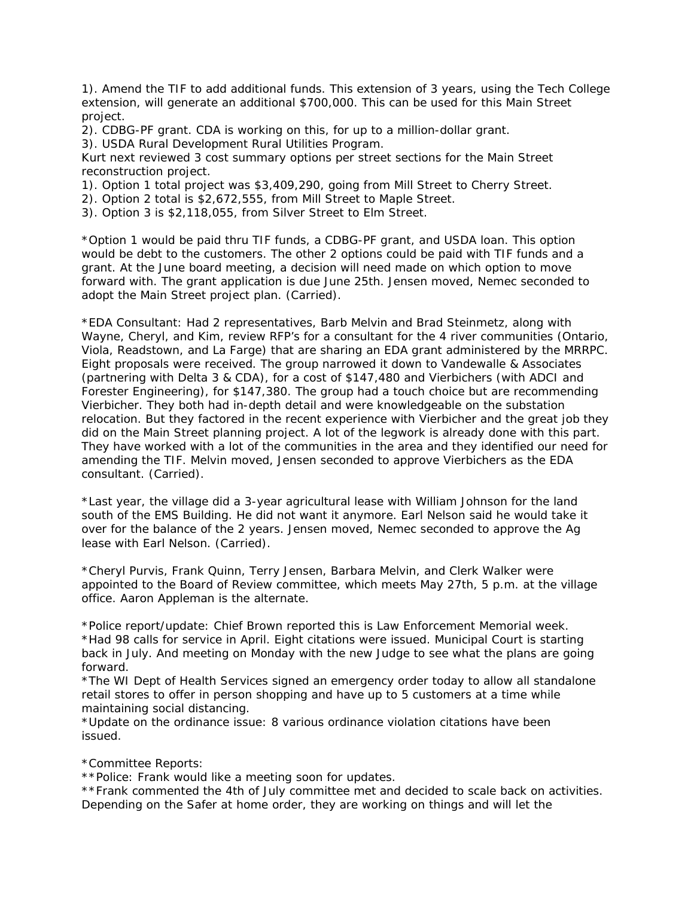1). Amend the TIF to add additional funds. This extension of 3 years, using the Tech College extension, will generate an additional \$700,000. This can be used for this Main Street project.

2). CDBG-PF grant. CDA is working on this, for up to a million-dollar grant.

3). USDA Rural Development Rural Utilities Program.

Kurt next reviewed 3 cost summary options per street sections for the Main Street reconstruction project.

- 1). Option 1 total project was \$3,409,290, going from Mill Street to Cherry Street.
- 2). Option 2 total is \$2,672,555, from Mill Street to Maple Street.
- 3). Option 3 is \$2,118,055, from Silver Street to Elm Street.

\*Option 1 would be paid thru TIF funds, a CDBG-PF grant, and USDA loan. This option would be debt to the customers. The other 2 options could be paid with TIF funds and a grant. At the June board meeting, a decision will need made on which option to move forward with. The grant application is due June 25th. Jensen moved, Nemec seconded to adopt the Main Street project plan. (Carried).

\*EDA Consultant: Had 2 representatives, Barb Melvin and Brad Steinmetz, along with Wayne, Cheryl, and Kim, review RFP's for a consultant for the 4 river communities (Ontario, Viola, Readstown, and La Farge) that are sharing an EDA grant administered by the MRRPC. Eight proposals were received. The group narrowed it down to Vandewalle & Associates (partnering with Delta 3 & CDA), for a cost of \$147,480 and Vierbichers (with ADCI and Forester Engineering), for \$147,380. The group had a touch choice but are recommending Vierbicher. They both had in-depth detail and were knowledgeable on the substation relocation. But they factored in the recent experience with Vierbicher and the great job they did on the Main Street planning project. A lot of the legwork is already done with this part. They have worked with a lot of the communities in the area and they identified our need for amending the TIF. Melvin moved, Jensen seconded to approve Vierbichers as the EDA consultant. (Carried).

\*Last year, the village did a 3-year agricultural lease with William Johnson for the land south of the EMS Building. He did not want it anymore. Earl Nelson said he would take it over for the balance of the 2 years. Jensen moved, Nemec seconded to approve the Ag lease with Earl Nelson. (Carried).

\*Cheryl Purvis, Frank Quinn, Terry Jensen, Barbara Melvin, and Clerk Walker were appointed to the Board of Review committee, which meets May 27th, 5 p.m. at the village office. Aaron Appleman is the alternate.

\*Police report/update: Chief Brown reported this is Law Enforcement Memorial week. \*Had 98 calls for service in April. Eight citations were issued. Municipal Court is starting back in July. And meeting on Monday with the new Judge to see what the plans are going forward.

\*The WI Dept of Health Services signed an emergency order today to allow all standalone retail stores to offer in person shopping and have up to 5 customers at a time while maintaining social distancing.

\*Update on the ordinance issue: 8 various ordinance violation citations have been issued.

\*Committee Reports:

\*\*Police: Frank would like a meeting soon for updates.

\*\*Frank commented the 4th of July committee met and decided to scale back on activities. Depending on the Safer at home order, they are working on things and will let the